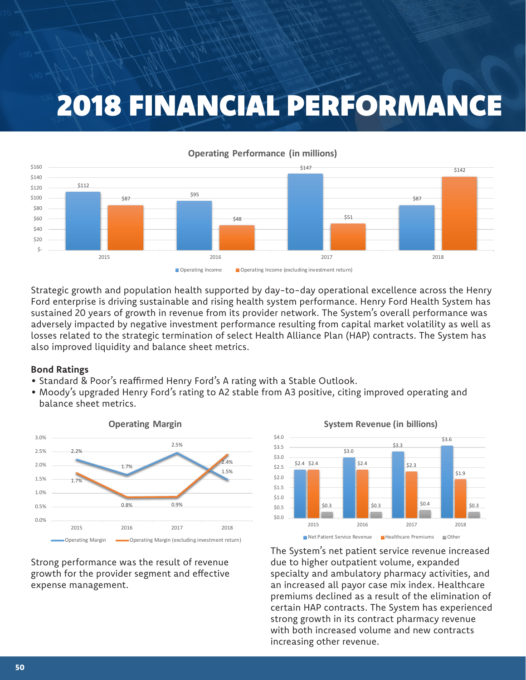# 2018 FINANCIAL PERFORMANCE



Strategic growth and population health supported by day-to-day operational excellence across the Henry Ford enterprise is driving sustainable and rising health system performance. Henry Ford Health System has sustained 20 years of growth in revenue from its provider network. The System's overall performance was adversely impacted by negative investment performance resulting from capital market volatility as well as losses related to the strategic termination of select Health Alliance Plan (HAP) contracts. The System has also improved liquidity and balance sheet metrics.

#### **Bond Ratings**

- Standard & Poor's reaffirmed Henry Ford's A rating with a Stable Outlook.
- Moody's upgraded Henry Ford's rating to A2 stable from A3 positive, citing improved operating and balance sheet metrics.



Strong performance was the result of revenue growth for the provider segment and effective expense management.





The System's net patient service revenue increased due to higher outpatient volume, expanded specialty and ambulatory pharmacy activities, and an increased all payor case mix index. Healthcare premiums declined as a result of the elimination of certain HAP contracts. The System has experienced strong growth in its contract pharmacy revenue with both increased volume and new contracts increasing other revenue.